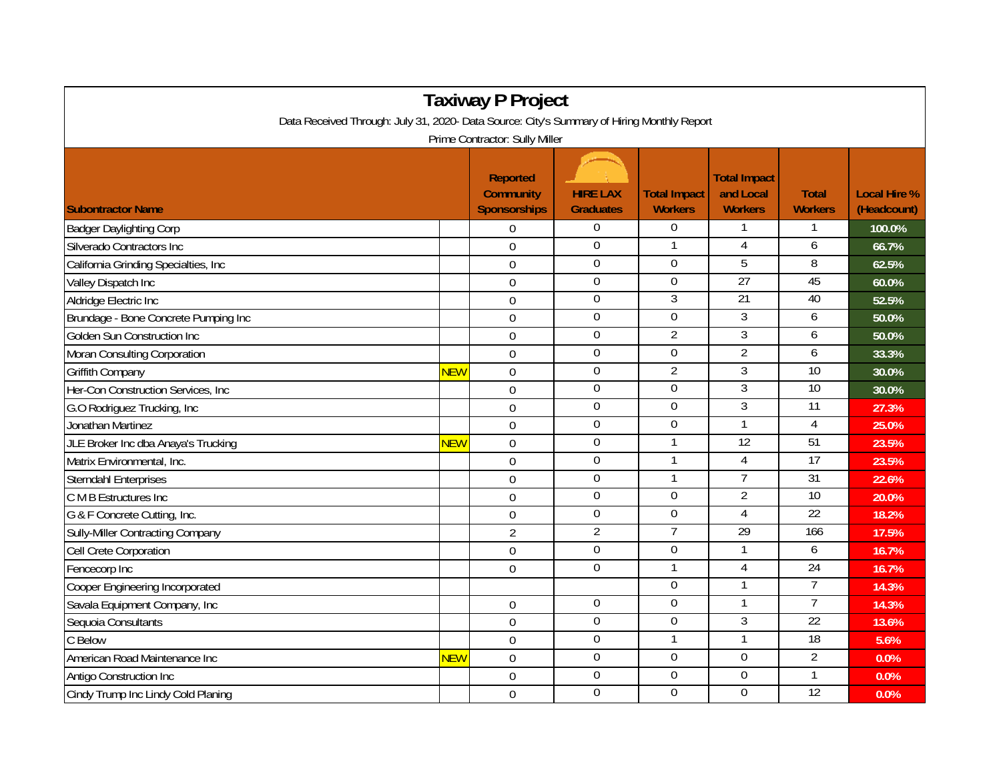| <b>Taxiway P Project</b>                                                                                                     |            |                                                            |                                     |                                       |                                                    |                                |                                    |  |  |  |  |  |
|------------------------------------------------------------------------------------------------------------------------------|------------|------------------------------------------------------------|-------------------------------------|---------------------------------------|----------------------------------------------------|--------------------------------|------------------------------------|--|--|--|--|--|
| Data Received Through: July 31, 2020- Data Source: City's Summary of Hiring Monthly Report<br>Prime Contractor: Sully Miller |            |                                                            |                                     |                                       |                                                    |                                |                                    |  |  |  |  |  |
|                                                                                                                              |            |                                                            |                                     |                                       |                                                    |                                |                                    |  |  |  |  |  |
| <b>Subontractor Name</b>                                                                                                     |            | <b>Reported</b><br><b>Community</b><br><b>Sponsorships</b> | <b>HIRE LAX</b><br><b>Graduates</b> | <b>Total Impact</b><br><b>Workers</b> | <b>Total Impact</b><br>and Local<br><b>Workers</b> | <b>Total</b><br><b>Workers</b> | <b>Local Hire %</b><br>(Headcount) |  |  |  |  |  |
| <b>Badger Daylighting Corp</b>                                                                                               |            | $\overline{0}$                                             | $\boldsymbol{0}$                    | $\overline{0}$                        |                                                    |                                | 100.0%                             |  |  |  |  |  |
| Silverado Contractors Inc                                                                                                    |            | $\Omega$                                                   | 0                                   |                                       | 4                                                  | 6                              | 66.7%                              |  |  |  |  |  |
| California Grinding Specialties, Inc                                                                                         |            | $\mathbf 0$                                                | $\boldsymbol{0}$                    | $\Omega$                              | 5                                                  | 8                              | 62.5%                              |  |  |  |  |  |
| Valley Dispatch Inc                                                                                                          |            | $\overline{0}$                                             | $\overline{0}$                      | $\overline{0}$                        | 27                                                 | 45                             | 60.0%                              |  |  |  |  |  |
| Aldridge Electric Inc                                                                                                        |            | $\overline{0}$                                             | $\mathbf 0$                         | $\mathfrak{Z}$                        | $\overline{21}$                                    | 40                             | 52.5%                              |  |  |  |  |  |
| Brundage - Bone Concrete Pumping Inc                                                                                         |            | $\mathbf 0$                                                | $\boldsymbol{0}$                    | $\mathbf 0$                           | 3                                                  | 6                              | 50.0%                              |  |  |  |  |  |
| Golden Sun Construction Inc                                                                                                  |            | $\mathbf 0$                                                | $\boldsymbol{0}$                    | $\overline{2}$                        | $\overline{3}$                                     | 6                              | 50.0%                              |  |  |  |  |  |
| Moran Consulting Corporation                                                                                                 |            | $\mathbf 0$                                                | $\boldsymbol{0}$                    | 0                                     | $\overline{2}$                                     | 6                              | 33.3%                              |  |  |  |  |  |
| <b>Griffith Company</b>                                                                                                      | <b>NEW</b> | $\mathbf 0$                                                | $\boldsymbol{0}$                    | $\overline{2}$                        | $\overline{3}$                                     | 10                             | 30.0%                              |  |  |  |  |  |
| Her-Con Construction Services, Inc.                                                                                          |            | $\Omega$                                                   | $\overline{0}$                      | $\overline{0}$                        | $\overline{3}$                                     | 10                             | 30.0%                              |  |  |  |  |  |
| G.O Rodriguez Trucking, Inc.                                                                                                 |            | $\overline{0}$                                             | 0                                   | $\Omega$                              | $\overline{3}$                                     | $\overline{11}$                | 27.3%                              |  |  |  |  |  |
| Jonathan Martinez                                                                                                            |            | $\mathbf 0$                                                | $\overline{0}$                      | $\overline{0}$                        |                                                    | 4                              | 25.0%                              |  |  |  |  |  |
| JLE Broker Inc dba Anaya's Trucking                                                                                          | <b>NEW</b> | $\mathbf 0$                                                | $\boldsymbol{0}$                    |                                       | $\overline{12}$                                    | 51                             | 23.5%                              |  |  |  |  |  |
| Matrix Environmental, Inc.                                                                                                   |            | $\mathbf 0$                                                | $\boldsymbol{0}$                    |                                       | 4                                                  | $\overline{17}$                | 23.5%                              |  |  |  |  |  |
| <b>Sterndahl Enterprises</b>                                                                                                 |            | $\mathbf 0$                                                | $\mathbf 0$                         |                                       | $\overline{7}$                                     | $\overline{31}$                | 22.6%                              |  |  |  |  |  |
| C M B Estructures Inc                                                                                                        |            | $\boldsymbol{0}$                                           | $\overline{0}$                      | $\Omega$                              | $\overline{2}$                                     | 10                             | 20.0%                              |  |  |  |  |  |
| G & F Concrete Cutting, Inc.                                                                                                 |            | $\mathbf 0$                                                | $\boldsymbol{0}$                    | 0                                     | 4                                                  | 22                             | 18.2%                              |  |  |  |  |  |
| <b>Sully-Miller Contracting Company</b>                                                                                      |            | $\overline{2}$                                             | $\overline{2}$                      | $\overline{7}$                        | 29                                                 | 166                            | 17.5%                              |  |  |  |  |  |
| Cell Crete Corporation                                                                                                       |            | $\mathbf 0$                                                | $\overline{0}$                      | $\mathbf 0$                           |                                                    | 6                              | 16.7%                              |  |  |  |  |  |
| Fencecorp Inc                                                                                                                |            | $\overline{0}$                                             | $\overline{0}$                      |                                       | $\overline{4}$                                     | 24                             | 16.7%                              |  |  |  |  |  |
| Cooper Engineering Incorporated                                                                                              |            |                                                            |                                     | $\Omega$                              | 1                                                  | 7                              | 14.3%                              |  |  |  |  |  |
| Savala Equipment Company, Inc                                                                                                |            | $\mathbf 0$                                                | $\boldsymbol{0}$                    | $\mathbf 0$                           |                                                    | $\overline{7}$                 | 14.3%                              |  |  |  |  |  |
| Sequoia Consultants                                                                                                          |            | $\mathbf 0$                                                | $\boldsymbol{0}$                    | $\overline{0}$                        | $\overline{3}$                                     | 22                             | 13.6%                              |  |  |  |  |  |
| C Below                                                                                                                      |            | $\Omega$                                                   | $\overline{0}$                      |                                       |                                                    | 18                             | 5.6%                               |  |  |  |  |  |
| American Road Maintenance Inc                                                                                                | <b>NEW</b> | $\mathbf 0$                                                | 0                                   | $\Omega$                              | $\Omega$                                           | 2                              | 0.0%                               |  |  |  |  |  |
| Antigo Construction Inc                                                                                                      |            | $\mathbf 0$                                                | $\boldsymbol{0}$                    | $\boldsymbol{0}$                      | $\boldsymbol{0}$                                   |                                | 0.0%                               |  |  |  |  |  |
| Cindy Trump Inc Lindy Cold Planing                                                                                           |            | $\mathbf 0$                                                | $\mathbf 0$                         | $\mathbf 0$                           | $\mathbf{0}$                                       | $\overline{12}$                | 0.0%                               |  |  |  |  |  |